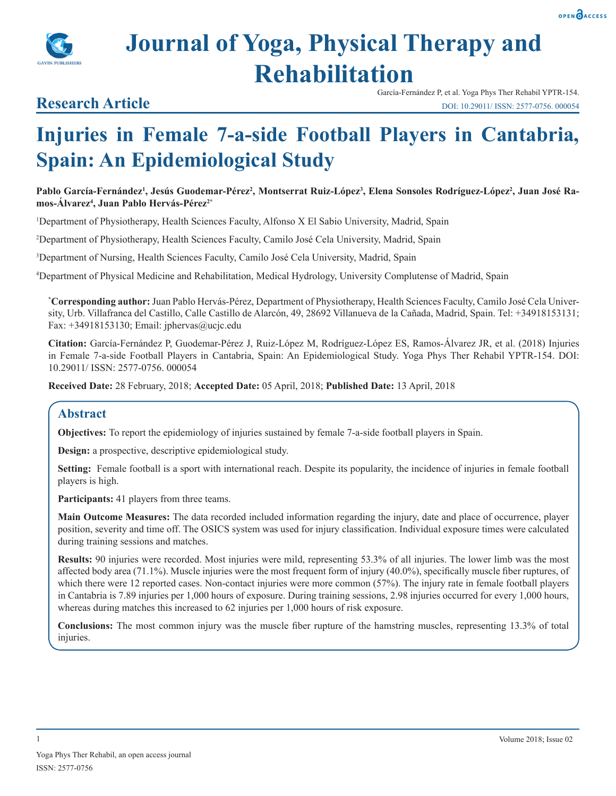

# **Journal of Yoga, Physical Therapy and Rehabilitation**

# **Research Article**

García-Fernández P, et al. Yoga Phys Ther Rehabil YPTR-154. DOI: 10.29011/ ISSN: 2577-0756. 000054

# **Injuries in Female 7-a-side Football Players in Cantabria, Spain: An Epidemiological Study**

Pablo García-Fernández<sup>i</sup>, Jesús Guodemar-Pérez<sup>2</sup>, Montserrat Ruiz-López<sup>3</sup>, Elena Sonsoles Rodríguez-López<sup>2</sup>, Juan José Ra**mos-Álvarez4 , Juan Pablo Hervás-Pérez2\***

1 Department of Physiotherapy, Health Sciences Faculty, Alfonso X El Sabio University, Madrid, Spain

2 Department of Physiotherapy, Health Sciences Faculty, Camilo José Cela University, Madrid, Spain

3 Department of Nursing, Health Sciences Faculty, Camilo José Cela University, Madrid, Spain

4 Department of Physical Medicine and Rehabilitation, Medical Hydrology, University Complutense of Madrid, Spain

**\* Corresponding author:** Juan Pablo Hervás-Pérez, Department of Physiotherapy, Health Sciences Faculty, Camilo José Cela University, Urb. Villafranca del Castillo, Calle Castillo de Alarcón, 49, 28692 Villanueva de la Cañada, Madrid, Spain. Tel: +34918153131; Fax: +34918153130; Email: jphervas@ucjc.edu

**Citation:** García-Fernández P, Guodemar-Pérez J, Ruiz-López M, Rodríguez-López ES, Ramos-Álvarez JR, et al. (2018) Injuries in Female 7-a-side Football Players in Cantabria, Spain: An Epidemiological Study. Yoga Phys Ther Rehabil YPTR-154. DOI: 10.29011/ ISSN: 2577-0756. 000054

**Received Date:** 28 February, 2018; **Accepted Date:** 05 April, 2018; **Published Date:** 13 April, 2018

# **Abstract**

**Objectives:** To report the epidemiology of injuries sustained by female 7-a-side football players in Spain.

**Design:** a prospective, descriptive epidemiological study.

**Setting:** Female football is a sport with international reach. Despite its popularity, the incidence of injuries in female football players is high.

Participants: 41 players from three teams.

**Main Outcome Measures:** The data recorded included information regarding the injury, date and place of occurrence, player position, severity and time off. The OSICS system was used for injury classification. Individual exposure times were calculated during training sessions and matches.

**Results:** 90 injuries were recorded. Most injuries were mild, representing 53.3% of all injuries. The lower limb was the most affected body area (71.1%). Muscle injuries were the most frequent form of injury (40.0%), specifically muscle fiber ruptures, of which there were 12 reported cases. Non-contact injuries were more common (57%). The injury rate in female football players in Cantabria is 7.89 injuries per 1,000 hours of exposure. During training sessions, 2.98 injuries occurred for every 1,000 hours, whereas during matches this increased to 62 injuries per 1,000 hours of risk exposure.

**Conclusions:** The most common injury was the muscle fiber rupture of the hamstring muscles, representing 13.3% of total injuries.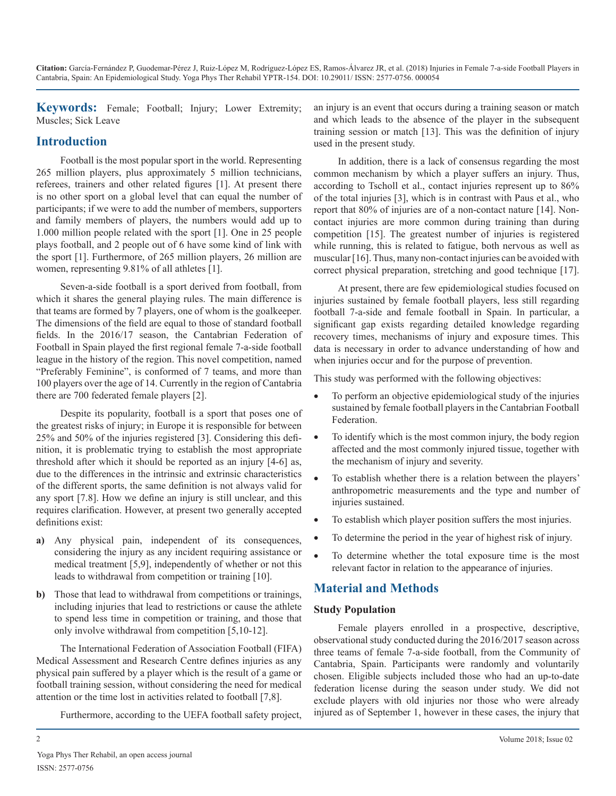**Keywords:** Female; Football; Injury; Lower Extremity; Muscles; Sick Leave

# **Introduction**

Football is the most popular sport in the world. Representing 265 million players, plus approximately 5 million technicians, referees, trainers and other related figures [1]. At present there is no other sport on a global level that can equal the number of participants; if we were to add the number of members, supporters and family members of players, the numbers would add up to 1.000 million people related with the sport [1]. One in 25 people plays football, and 2 people out of 6 have some kind of link with the sport [1]. Furthermore, of 265 million players, 26 million are women, representing 9.81% of all athletes [1].

Seven-a-side football is a sport derived from football, from which it shares the general playing rules. The main difference is that teams are formed by 7 players, one of whom is the goalkeeper. The dimensions of the field are equal to those of standard football fields. In the 2016/17 season, the Cantabrian Federation of Football in Spain played the first regional female 7-a-side football league in the history of the region. This novel competition, named "Preferably Feminine", is conformed of 7 teams, and more than 100 players over the age of 14. Currently in the region of Cantabria there are 700 federated female players [2].

Despite its popularity, football is a sport that poses one of the greatest risks of injury; in Europe it is responsible for between 25% and 50% of the injuries registered [3]. Considering this definition, it is problematic trying to establish the most appropriate threshold after which it should be reported as an injury [4-6] as, due to the differences in the intrinsic and extrinsic characteristics of the different sports, the same definition is not always valid for any sport [7.8]. How we define an injury is still unclear, and this requires clarification. However, at present two generally accepted definitions exist:

- **a)** Any physical pain, independent of its consequences, considering the injury as any incident requiring assistance or medical treatment [5,9], independently of whether or not this leads to withdrawal from competition or training [10].
- **b)** Those that lead to withdrawal from competitions or trainings, including injuries that lead to restrictions or cause the athlete to spend less time in competition or training, and those that only involve withdrawal from competition [5,10-12].

The International Federation of Association Football (FIFA) Medical Assessment and Research Centre defines injuries as any physical pain suffered by a player which is the result of a game or football training session, without considering the need for medical attention or the time lost in activities related to football [7,8].

Furthermore, according to the UEFA football safety project,

an injury is an event that occurs during a training season or match and which leads to the absence of the player in the subsequent training session or match [13]. This was the definition of injury used in the present study.

In addition, there is a lack of consensus regarding the most common mechanism by which a player suffers an injury. Thus, according to Tscholl et al., contact injuries represent up to 86% of the total injuries [3], which is in contrast with Paus et al., who report that 80% of injuries are of a non-contact nature [14]. Noncontact injuries are more common during training than during competition [15]. The greatest number of injuries is registered while running, this is related to fatigue, both nervous as well as muscular [16]. Thus, many non-contact injuries can be avoided with correct physical preparation, stretching and good technique [17].

At present, there are few epidemiological studies focused on injuries sustained by female football players, less still regarding football 7-a-side and female football in Spain. In particular, a significant gap exists regarding detailed knowledge regarding recovery times, mechanisms of injury and exposure times. This data is necessary in order to advance understanding of how and when injuries occur and for the purpose of prevention.

This study was performed with the following objectives:

- To perform an objective epidemiological study of the injuries sustained by female football players in the Cantabrian Football Federation.
- To identify which is the most common injury, the body region affected and the most commonly injured tissue, together with the mechanism of injury and severity.
- To establish whether there is a relation between the players' anthropometric measurements and the type and number of injuries sustained.
- To establish which player position suffers the most injuries.
- To determine the period in the year of highest risk of injury.
- To determine whether the total exposure time is the most relevant factor in relation to the appearance of injuries.

# **Material and Methods**

### **Study Population**

Female players enrolled in a prospective, descriptive, observational study conducted during the 2016/2017 season across three teams of female 7-a-side football, from the Community of Cantabria, Spain. Participants were randomly and voluntarily chosen. Eligible subjects included those who had an up-to-date federation license during the season under study. We did not exclude players with old injuries nor those who were already injured as of September 1, however in these cases, the injury that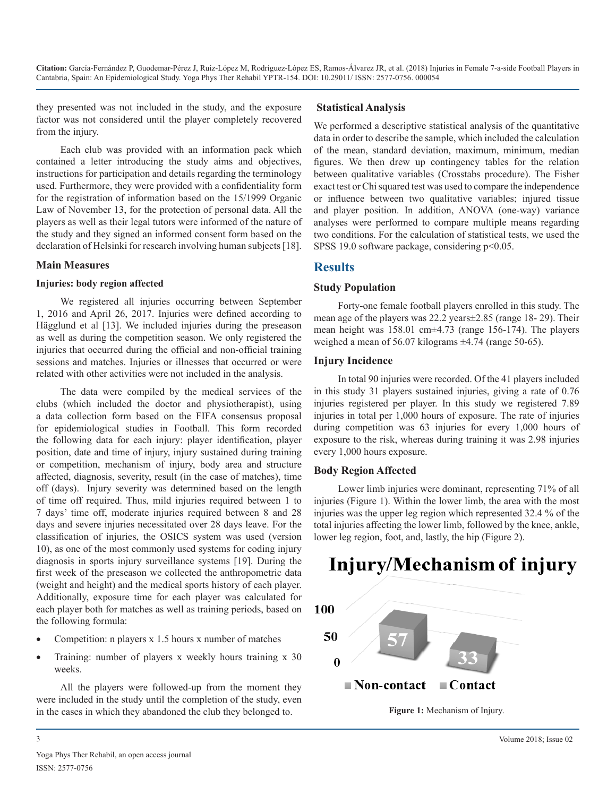they presented was not included in the study, and the exposure factor was not considered until the player completely recovered from the injury.

Each club was provided with an information pack which contained a letter introducing the study aims and objectives, instructions for participation and details regarding the terminology used. Furthermore, they were provided with a confidentiality form for the registration of information based on the 15/1999 Organic Law of November 13, for the protection of personal data. All the players as well as their legal tutors were informed of the nature of the study and they signed an informed consent form based on the declaration of Helsinki for research involving human subjects [18].

#### **Main Measures**

#### **Injuries: body region affected**

We registered all injuries occurring between September 1, 2016 and April 26, 2017. Injuries were defined according to Hägglund et al [13]. We included injuries during the preseason as well as during the competition season. We only registered the injuries that occurred during the official and non-official training sessions and matches. Injuries or illnesses that occurred or were related with other activities were not included in the analysis.

The data were compiled by the medical services of the clubs (which included the doctor and physiotherapist), using a data collection form based on the FIFA consensus proposal for epidemiological studies in Football. This form recorded the following data for each injury: player identification, player position, date and time of injury, injury sustained during training or competition, mechanism of injury, body area and structure affected, diagnosis, severity, result (in the case of matches), time off (days). Injury severity was determined based on the length of time off required. Thus, mild injuries required between 1 to 7 days' time off, moderate injuries required between 8 and 28 days and severe injuries necessitated over 28 days leave. For the classification of injuries, the OSICS system was used (version 10), as one of the most commonly used systems for coding injury diagnosis in sports injury surveillance systems [19]. During the first week of the preseason we collected the anthropometric data (weight and height) and the medical sports history of each player. Additionally, exposure time for each player was calculated for each player both for matches as well as training periods, based on the following formula:

- Competition:  $n$  players  $x$  1.5 hours  $x$  number of matches
- Training: number of players x weekly hours training x 30 weeks.

All the players were followed-up from the moment they were included in the study until the completion of the study, even in the cases in which they abandoned the club they belonged to.

### **Statistical Analysis**

We performed a descriptive statistical analysis of the quantitative data in order to describe the sample, which included the calculation of the mean, standard deviation, maximum, minimum, median figures. We then drew up contingency tables for the relation between qualitative variables (Crosstabs procedure). The Fisher exact test or Chi squared test was used to compare the independence or influence between two qualitative variables; injured tissue and player position. In addition, ANOVA (one-way) variance analyses were performed to compare multiple means regarding two conditions. For the calculation of statistical tests, we used the SPSS 19.0 software package, considering  $p<0.05$ .

# **Results**

### **Study Population**

Forty-one female football players enrolled in this study. The mean age of the players was 22.2 years±2.85 (range 18- 29). Their mean height was 158.01 cm±4.73 (range 156-174). The players weighed a mean of 56.07 kilograms ±4.74 (range 50-65).

## **Injury Incidence**

In total 90 injuries were recorded. Of the 41 players included in this study 31 players sustained injuries, giving a rate of 0.76 injuries registered per player. In this study we registered 7.89 injuries in total per 1,000 hours of exposure. The rate of injuries during competition was 63 injuries for every 1,000 hours of exposure to the risk, whereas during training it was 2.98 injuries every 1,000 hours exposure.

# **Body Region Affected**

Lower limb injuries were dominant, representing 71% of all injuries (Figure 1). Within the lower limb, the area with the most injuries was the upper leg region which represented 32.4 % of the total injuries affecting the lower limb, followed by the knee, ankle, lower leg region, foot, and, lastly, the hip (Figure 2).

# Injury/Mechanism of injury



**Figure 1:** Mechanism of Injury.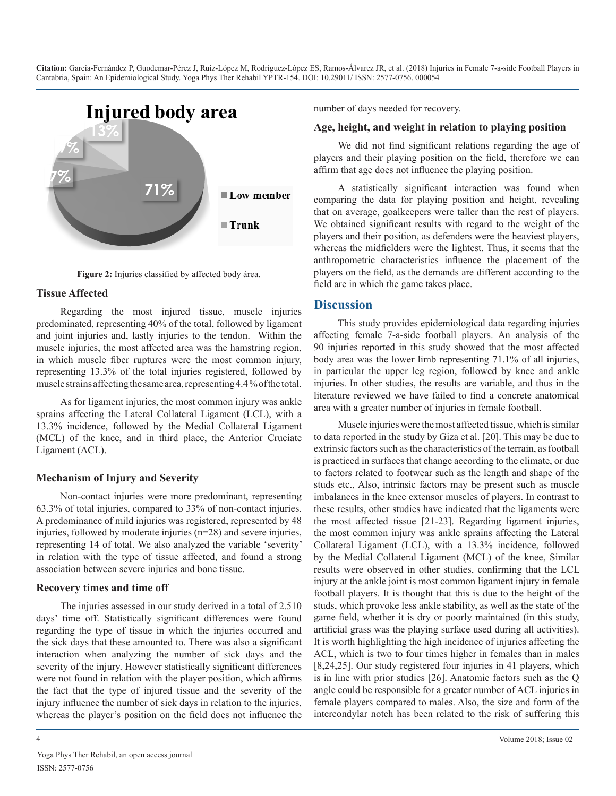

**Figure 2:** Injuries classified by affected body área.

#### **Tissue Affected**

Regarding the most injured tissue, muscle injuries predominated, representing 40% of the total, followed by ligament and joint injuries and, lastly injuries to the tendon. Within the muscle injuries, the most affected area was the hamstring region, in which muscle fiber ruptures were the most common injury, representing 13.3% of the total injuries registered, followed by muscle strains affecting the same area, representing 4.4 % of the total.

As for ligament injuries, the most common injury was ankle sprains affecting the Lateral Collateral Ligament (LCL), with a 13.3% incidence, followed by the Medial Collateral Ligament (MCL) of the knee, and in third place, the Anterior Cruciate Ligament (ACL).

#### **Mechanism of Injury and Severity**

Non-contact injuries were more predominant, representing 63.3% of total injuries, compared to 33% of non-contact injuries. A predominance of mild injuries was registered, represented by 48 injuries, followed by moderate injuries (n=28) and severe injuries, representing 14 of total. We also analyzed the variable 'severity' in relation with the type of tissue affected, and found a strong association between severe injuries and bone tissue.

#### **Recovery times and time off**

The injuries assessed in our study derived in a total of 2.510 days' time off. Statistically significant differences were found regarding the type of tissue in which the injuries occurred and the sick days that these amounted to. There was also a significant interaction when analyzing the number of sick days and the severity of the injury. However statistically significant differences were not found in relation with the player position, which affirms the fact that the type of injured tissue and the severity of the injury influence the number of sick days in relation to the injuries, whereas the player's position on the field does not influence the

Yoga Phys Ther Rehabil, an open access journal ISSN: 2577-0756

number of days needed for recovery.

#### **Age, height, and weight in relation to playing position**

We did not find significant relations regarding the age of players and their playing position on the field, therefore we can affirm that age does not influence the playing position.

A statistically significant interaction was found when comparing the data for playing position and height, revealing that on average, goalkeepers were taller than the rest of players. We obtained significant results with regard to the weight of the players and their position, as defenders were the heaviest players, whereas the midfielders were the lightest. Thus, it seems that the anthropometric characteristics influence the placement of the players on the field, as the demands are different according to the field are in which the game takes place.

### **Discussion**

This study provides epidemiological data regarding injuries affecting female 7-a-side football players. An analysis of the 90 injuries reported in this study showed that the most affected body area was the lower limb representing 71.1% of all injuries, in particular the upper leg region, followed by knee and ankle injuries. In other studies, the results are variable, and thus in the literature reviewed we have failed to find a concrete anatomical area with a greater number of injuries in female football.

Muscle injuries were the most affected tissue, which is similar to data reported in the study by Giza et al. [20]. This may be due to extrinsic factors such as the characteristics of the terrain, as football is practiced in surfaces that change according to the climate, or due to factors related to footwear such as the length and shape of the studs etc., Also, intrinsic factors may be present such as muscle imbalances in the knee extensor muscles of players. In contrast to these results, other studies have indicated that the ligaments were the most affected tissue [21-23]. Regarding ligament injuries, the most common injury was ankle sprains affecting the Lateral Collateral Ligament (LCL), with a 13.3% incidence, followed by the Medial Collateral Ligament (MCL) of the knee, Similar results were observed in other studies, confirming that the LCL injury at the ankle joint is most common ligament injury in female football players. It is thought that this is due to the height of the studs, which provoke less ankle stability, as well as the state of the game field, whether it is dry or poorly maintained (in this study, artificial grass was the playing surface used during all activities). It is worth highlighting the high incidence of injuries affecting the ACL, which is two to four times higher in females than in males [8,24,25]. Our study registered four injuries in 41 players, which is in line with prior studies [26]. Anatomic factors such as the Q angle could be responsible for a greater number of ACL injuries in female players compared to males. Also, the size and form of the intercondylar notch has been related to the risk of suffering this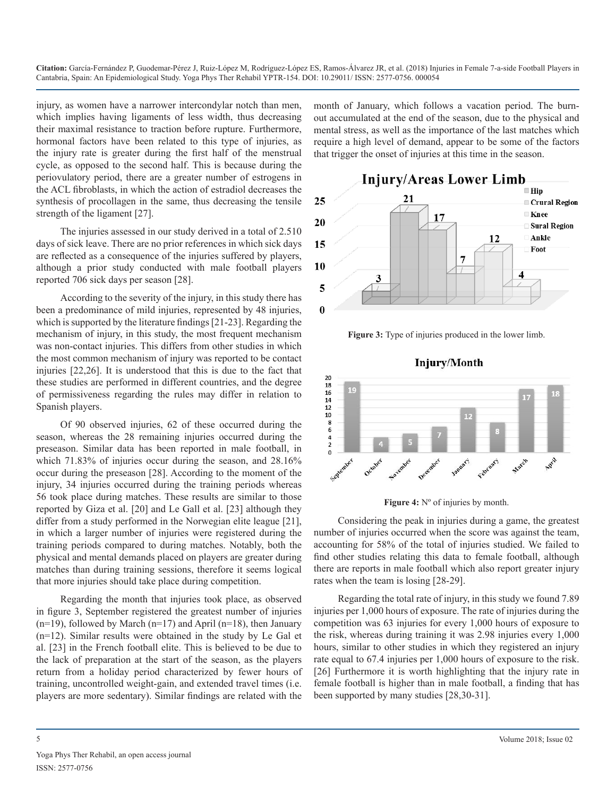injury, as women have a narrower intercondylar notch than men, which implies having ligaments of less width, thus decreasing their maximal resistance to traction before rupture. Furthermore, hormonal factors have been related to this type of injuries, as the injury rate is greater during the first half of the menstrual cycle, as opposed to the second half. This is because during the periovulatory period, there are a greater number of estrogens in the ACL fibroblasts, in which the action of estradiol decreases the synthesis of procollagen in the same, thus decreasing the tensile strength of the ligament [27].

The injuries assessed in our study derived in a total of 2.510 days of sick leave. There are no prior references in which sick days are reflected as a consequence of the injuries suffered by players, although a prior study conducted with male football players reported 706 sick days per season [28].

According to the severity of the injury, in this study there has been a predominance of mild injuries, represented by 48 injuries, which is supported by the literature findings [21-23]. Regarding the mechanism of injury, in this study, the most frequent mechanism was non-contact injuries. This differs from other studies in which the most common mechanism of injury was reported to be contact injuries [22,26]. It is understood that this is due to the fact that these studies are performed in different countries, and the degree of permissiveness regarding the rules may differ in relation to Spanish players.

Of 90 observed injuries, 62 of these occurred during the season, whereas the 28 remaining injuries occurred during the preseason. Similar data has been reported in male football, in which 71.83% of injuries occur during the season, and 28.16% occur during the preseason [28]. According to the moment of the injury, 34 injuries occurred during the training periods whereas 56 took place during matches. These results are similar to those reported by Giza et al. [20] and Le Gall et al. [23] although they differ from a study performed in the Norwegian elite league [21], in which a larger number of injuries were registered during the training periods compared to during matches. Notably, both the physical and mental demands placed on players are greater during matches than during training sessions, therefore it seems logical that more injuries should take place during competition.

Regarding the month that injuries took place, as observed in figure 3, September registered the greatest number of injuries  $(n=19)$ , followed by March  $(n=17)$  and April  $(n=18)$ , then January (n=12). Similar results were obtained in the study by Le Gal et al. [23] in the French football elite. This is believed to be due to the lack of preparation at the start of the season, as the players return from a holiday period characterized by fewer hours of training, uncontrolled weight-gain, and extended travel times (i.e. players are more sedentary). Similar findings are related with the

month of January, which follows a vacation period. The burnout accumulated at the end of the season, due to the physical and mental stress, as well as the importance of the last matches which require a high level of demand, appear to be some of the factors that trigger the onset of injuries at this time in the season.



**Figure 3:** Type of injuries produced in the lower limb.

**Injury/Month** 



Figure 4: N° of injuries by month.

Considering the peak in injuries during a game, the greatest number of injuries occurred when the score was against the team, accounting for 58% of the total of injuries studied. We failed to find other studies relating this data to female football, although there are reports in male football which also report greater injury rates when the team is losing [28-29].

Regarding the total rate of injury, in this study we found 7.89 injuries per 1,000 hours of exposure. The rate of injuries during the competition was 63 injuries for every 1,000 hours of exposure to the risk, whereas during training it was 2.98 injuries every 1,000 hours, similar to other studies in which they registered an injury rate equal to 67.4 injuries per 1,000 hours of exposure to the risk. [26] Furthermore it is worth highlighting that the injury rate in female football is higher than in male football, a finding that has been supported by many studies [28,30-31].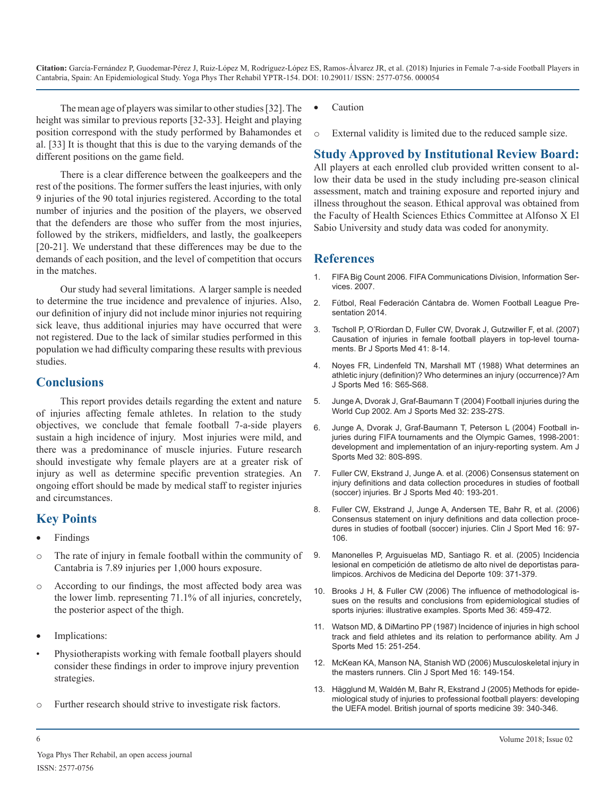The mean age of players was similar to other studies [32]. The height was similar to previous reports [32-33]. Height and playing position correspond with the study performed by Bahamondes et al. [33] It is thought that this is due to the varying demands of the different positions on the game field.

There is a clear difference between the goalkeepers and the rest of the positions. The former suffers the least injuries, with only 9 injuries of the 90 total injuries registered. According to the total number of injuries and the position of the players, we observed that the defenders are those who suffer from the most injuries, followed by the strikers, midfielders, and lastly, the goalkeepers [20-21]. We understand that these differences may be due to the demands of each position, and the level of competition that occurs in the matches.

Our study had several limitations. A larger sample is needed to determine the true incidence and prevalence of injuries. Also, our definition of injury did not include minor injuries not requiring sick leave, thus additional injuries may have occurred that were not registered. Due to the lack of similar studies performed in this population we had difficulty comparing these results with previous studies.

## **Conclusions**

This report provides details regarding the extent and nature of injuries affecting female athletes. In relation to the study objectives, we conclude that female football 7-a-side players sustain a high incidence of injury. Most injuries were mild, and there was a predominance of muscle injuries. Future research should investigate why female players are at a greater risk of injury as well as determine specific prevention strategies. An ongoing effort should be made by medical staff to register injuries and circumstances.

# **Key Points**

- **Findings**
- o The rate of injury in female football within the community of Cantabria is 7.89 injuries per 1,000 hours exposure.
- o According to our findings, the most affected body area was the lower limb. representing 71.1% of all injuries, concretely, the posterior aspect of the thigh.
- Implications:
- Physiotherapists working with female football players should consider these findings in order to improve injury prevention strategies.
- o Further research should strive to investigate risk factors.
- **Caution**
- o External validity is limited due to the reduced sample size.

# **Study Approved by Institutional Review Board:**

All players at each enrolled club provided written consent to allow their data be used in the study including pre-season clinical assessment, match and training exposure and reported injury and illness throughout the season. Ethical approval was obtained from the Faculty of Health Sciences Ethics Committee at Alfonso X El Sabio University and study data was coded for anonymity.

# **References**

- 1. [FIFA Big Count 2006. FIFA Communications Division, Information Ser](http://www.fifa.com/mm/document/fifafacts/bcoffsurv/bigcount.statspackage_7024.pdf)vices. 2007.
- 2. [Fútbol, Real Federación Cántabra de. Women Football League Pre](http://www.federacioncantabradefutbol.com/)sentation 2014.
- 3. [Tscholl P, O'Riordan D, Fuller CW, Dvorak J, Gutzwiller F, et al. \(2007\)](http://bjsm.bmj.com/content/41/suppl_1/i8)  Causation of injuries in female football players in top-level tourna[ments. Br J Sports Med 41: 8-14](http://bjsm.bmj.com/content/41/suppl_1/i8).
- 4. [Noyes FR, Lindenfeld TN, Marshall MT \(1988\) What determines an](https://www.ncbi.nlm.nih.gov/pubmed/3414890) athletic injury (definition)? Who determines an injury (occurrence)? Am [J Sports Med 16: S65-S68.](https://www.ncbi.nlm.nih.gov/pubmed/3414890)
- 5. [Junge A, Dvorak J, Graf-Baumann T \(2004\) Football injuries during the](https://www.ncbi.nlm.nih.gov/pubmed/14754856)  World Cup 2002. Am J Sports Med 32: 23S-27S.
- 6. [Junge A, Dvorak J, Graf-Baumann T, Peterson L \(2004\) Football in](https://www.ncbi.nlm.nih.gov/pubmed/14754863)juriesduring FIFA tournaments and the Olympic Games, 1998-2001: [development and implementation of an injury-reporting system. Am J](https://www.ncbi.nlm.nih.gov/pubmed/14754863)  [Sports Med 32: 80S-89S.](https://www.ncbi.nlm.nih.gov/pubmed/14754863)
- 7. [Fuller CW, Ekstrand J, Junge A. et al. \(2006\) Consensus statement on](https://www.ncbi.nlm.nih.gov/pubmed/16603877)  injury definitions and data collection procedures in studies of football [\(soccer\) injuries. Br J Sports Med 40: 193-201](https://www.ncbi.nlm.nih.gov/pubmed/16603877).
- 8. [Fuller CW, Ekstrand J, Junge A, Andersen TE, Bahr R, et al. \(2006\)](https://www.ncbi.nlm.nih.gov/pmc/articles/PMC2491990/)  Consensus statement on injury definitions and data collection proce[dures in studies of football \(soccer\) injuries. Clin J Sport Med 16: 97-](https://www.ncbi.nlm.nih.gov/pmc/articles/PMC2491990/) [106](https://www.ncbi.nlm.nih.gov/pmc/articles/PMC2491990/).
- 9. Manonelles P, Arguisuelas MD, Santiago R. et al. (2005) Incidencia lesional en competición de atletismo de alto nivel de deportistas paralimpicos. Archivos de Medicina del Deporte 109: 371-379.
- 10. [Brooks J H, & Fuller CW \(2006\) The influence of methodological is](https://www.ncbi.nlm.nih.gov/pubmed/16737340)sues on the results and conclusions from epidemiological studies of [sports injuries: illustrative examples. Sports Med 36: 459-472](https://www.ncbi.nlm.nih.gov/pubmed/16737340).
- 11. [Watson MD, & DiMartino PP \(1987\) Incidence of injuries in high school](https://www.ncbi.nlm.nih.gov/pubmed/3113274)  track and field athletes and its relation to performance ability. Am J [Sports Med 15: 251-254.](https://www.ncbi.nlm.nih.gov/pubmed/3113274)
- 12. [McKean KA, Manson NA, Stanish WD \(2006\) Musculoskeletal injury in](https://www.ncbi.nlm.nih.gov/pubmed/16603885)  the masters runners. Clin J Sport Med 16: 149-154.
- 13. [Hägglund M, Waldén M, Bahr R, Ekstrand J \(2005\) Methods for epide](http://bjsm.bmj.com/content/39/6/340)miological study of injuries to professional football players: developing [the UEFA model. British journal of sports medicine 39: 340-346.](http://bjsm.bmj.com/content/39/6/340)